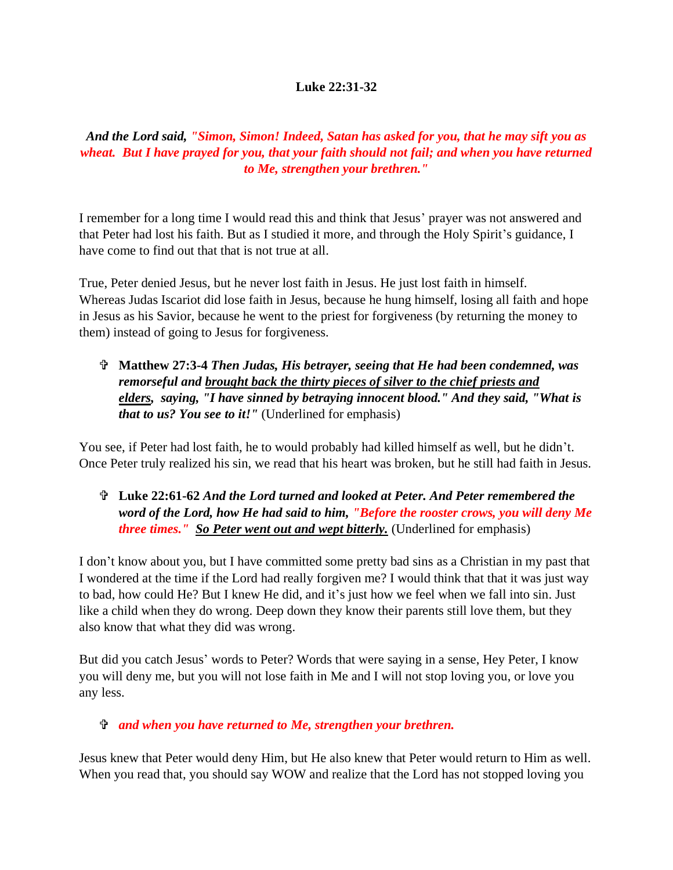#### **Luke 22:31-32**

*And the Lord said, "Simon, Simon! Indeed, Satan has asked for you, that he may sift you as wheat. But I have prayed for you, that your faith should not fail; and when you have returned to Me, strengthen your brethren."*

I remember for a long time I would read this and think that Jesus' prayer was not answered and that Peter had lost his faith. But as I studied it more, and through the Holy Spirit's guidance, I have come to find out that that is not true at all.

True, Peter denied Jesus, but he never lost faith in Jesus. He just lost faith in himself. Whereas Judas Iscariot did lose faith in Jesus, because he hung himself, losing all faith and hope in Jesus as his Savior, because he went to the priest for forgiveness (by returning the money to them) instead of going to Jesus for forgiveness.

 **Matthew 27:3-4** *Then Judas, His betrayer, seeing that He had been condemned, was remorseful and brought back the thirty pieces of silver to the chief priests and elders, saying, "I have sinned by betraying innocent blood." And they said, "What is that to us? You see to it!"* (Underlined for emphasis)

You see, if Peter had lost faith, he to would probably had killed himself as well, but he didn't. Once Peter truly realized his sin, we read that his heart was broken, but he still had faith in Jesus.

### **Luke 22:61-62** *And the Lord turned and looked at Peter. And Peter remembered the word of the Lord, how He had said to him, "Before the rooster crows, you will deny Me three times." So Peter went out and wept bitterly.* (Underlined for emphasis)

I don't know about you, but I have committed some pretty bad sins as a Christian in my past that I wondered at the time if the Lord had really forgiven me? I would think that that it was just way to bad, how could He? But I knew He did, and it's just how we feel when we fall into sin. Just like a child when they do wrong. Deep down they know their parents still love them, but they also know that what they did was wrong.

But did you catch Jesus' words to Peter? Words that were saying in a sense, Hey Peter, I know you will deny me, but you will not lose faith in Me and I will not stop loving you, or love you any less.

### *and when you have returned to Me, strengthen your brethren.*

Jesus knew that Peter would deny Him, but He also knew that Peter would return to Him as well. When you read that, you should say WOW and realize that the Lord has not stopped loving you